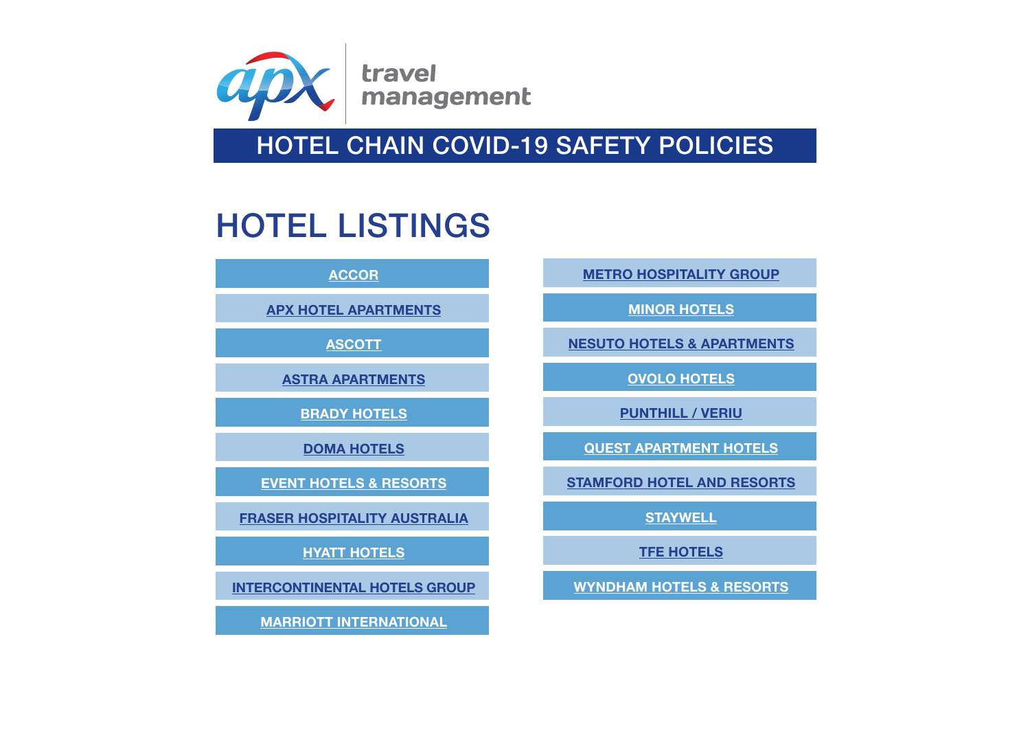<span id="page-0-0"></span>

# HOTEL LISTINGS

**[ACCOR](#page-1-0) [APX HOTEL APARTMENTS](#page-1-0)**

**[ASCOTT](#page-1-0)**

**[ASTRA APARTMENTS](#page-1-0)**

**[BRADY HOTELS](#page-2-0)**

**[DOMA HOTELS](#page-2-0)**

**[EVENT HOTELS & RESORTS](#page-2-0)**

**[FRASER HOSPITALITY AUSTRALIA](#page-2-0)**

**[HYATT HOTELS](#page-3-0)**

**[INTERCONTINENTAL HOTELS GROUP](#page-3-0)**

**[MARRIOTT INTERNATIONAL](#page-3-0)**

**[METRO HOSPITALITY GROUP](#page-3-0)**

**[MINOR HOTELS](#page-4-0)**

**[NESUTO HOTELS & APARTMENTS](#page-4-0)**

**[OVOLO HOTELS](#page-4-0)**

**[PUNTHILL / VERIU](#page-4-0)**

**[QUEST APARTMENT HOTELS](#page-5-0)**

**[STAMFORD HOTEL AND RESORTS](#page-5-0)**

**[STAYWELL](#page-5-0)**

**[TFE HOTELS](#page-5-0)**

**[WYNDHAM HOTELS & RESORTS](#page-6-0)**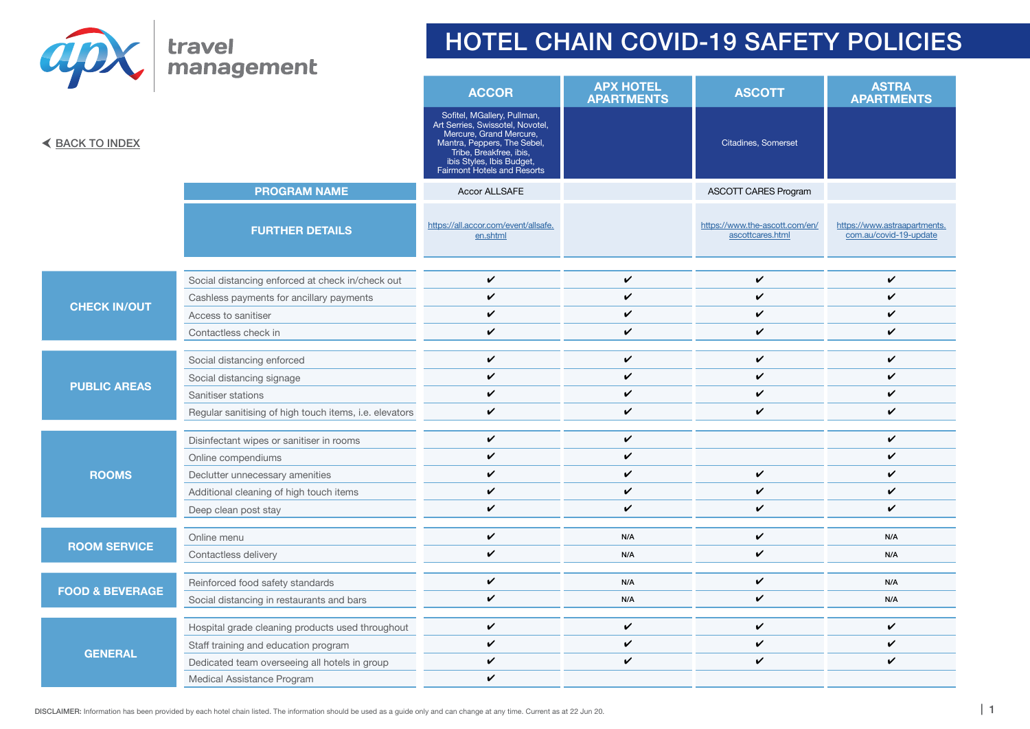<span id="page-1-0"></span>

| <b>EACK TO INDEX</b>       |                                                        | <b>ACCOR</b>                                                                                                                                                                                                     | <b>APX HOTEL</b><br><b>APARTMENTS</b> | <b>ASCOTT</b>                                      | <b>ASTRA</b><br><b>APARTMENTS</b>                      |
|----------------------------|--------------------------------------------------------|------------------------------------------------------------------------------------------------------------------------------------------------------------------------------------------------------------------|---------------------------------------|----------------------------------------------------|--------------------------------------------------------|
|                            |                                                        | Sofitel, MGallery, Pullman,<br>Art Serries, Swissotel, Novotel,<br>Mercure, Grand Mercure,<br>Mantra, Peppers, The Sebel,<br>Tribe, Breakfree, ibis,<br>ibis Styles, Ibis Budget,<br>Fairmont Hotels and Resorts |                                       | Citadines, Somerset                                |                                                        |
|                            | <b>PROGRAM NAME</b>                                    | <b>Accor ALLSAFE</b>                                                                                                                                                                                             |                                       | <b>ASCOTT CARES Program</b>                        |                                                        |
|                            | <b>FURTHER DETAILS</b>                                 | https://all.accor.com/event/allsafe.<br>en.shtml                                                                                                                                                                 |                                       | https://www.the-ascott.com/en/<br>ascottcares.html | https://www.astraapartments.<br>com.au/covid-19-update |
|                            | Social distancing enforced at check in/check out       | $\checkmark$                                                                                                                                                                                                     | V                                     | $\checkmark$                                       | $\checkmark$                                           |
|                            | Cashless payments for ancillary payments               | $\checkmark$                                                                                                                                                                                                     | V                                     | ✓                                                  | $\checkmark$                                           |
| <b>CHECK IN/OUT</b>        | Access to sanitiser                                    | $\checkmark$                                                                                                                                                                                                     | V                                     | ✓                                                  | ✓                                                      |
|                            | Contactless check in                                   | V                                                                                                                                                                                                                | V                                     | V                                                  | $\checkmark$                                           |
|                            | Social distancing enforced                             | $\checkmark$                                                                                                                                                                                                     | V                                     | $\checkmark$                                       | $\checkmark$                                           |
|                            | Social distancing signage                              | ✓                                                                                                                                                                                                                | V                                     | $\boldsymbol{\nu}$                                 | $\mathbf v$                                            |
| <b>PUBLIC AREAS</b>        | Sanitiser stations                                     | V                                                                                                                                                                                                                | V                                     | $\checkmark$                                       | $\boldsymbol{\nu}$                                     |
|                            | Regular sanitising of high touch items, i.e. elevators | $\checkmark$                                                                                                                                                                                                     | V                                     | $\boldsymbol{\nu}$                                 | $\checkmark$                                           |
|                            | Disinfectant wipes or sanitiser in rooms               | $\checkmark$                                                                                                                                                                                                     | V                                     |                                                    | $\checkmark$                                           |
|                            | Online compendiums                                     | $\boldsymbol{\nu}$                                                                                                                                                                                               | V                                     |                                                    | $\checkmark$                                           |
| <b>ROOMS</b>               | Declutter unnecessary amenities                        | ✓                                                                                                                                                                                                                | V                                     | $\checkmark$                                       | $\checkmark$                                           |
|                            | Additional cleaning of high touch items                | V                                                                                                                                                                                                                | V                                     | V                                                  | V                                                      |
|                            | Deep clean post stay                                   | $\checkmark$                                                                                                                                                                                                     | V                                     | $\checkmark$                                       | $\checkmark$                                           |
|                            | Online menu                                            | $\checkmark$                                                                                                                                                                                                     | N/A                                   | $\checkmark$                                       | N/A                                                    |
| <b>ROOM SERVICE</b>        | Contactless delivery                                   | V                                                                                                                                                                                                                | N/A                                   | $\checkmark$                                       | N/A                                                    |
| <b>FOOD &amp; BEVERAGE</b> | Reinforced food safety standards                       | V                                                                                                                                                                                                                | N/A                                   | $\checkmark$                                       | N/A                                                    |
|                            | Social distancing in restaurants and bars              | $\checkmark$                                                                                                                                                                                                     | N/A                                   | $\checkmark$                                       | N/A                                                    |
|                            |                                                        |                                                                                                                                                                                                                  |                                       |                                                    |                                                        |
| <b>GENERAL</b>             | Hospital grade cleaning products used throughout       | V<br>✓                                                                                                                                                                                                           | V                                     | $\checkmark$<br>$\overline{\mathbf{v}}$            | $\checkmark$                                           |
|                            | Staff training and education program                   | ✓                                                                                                                                                                                                                | V                                     | $\boldsymbol{\nu}$                                 | $\checkmark$                                           |
|                            | Dedicated team overseeing all hotels in group          | ✓                                                                                                                                                                                                                | V                                     |                                                    | $\checkmark$                                           |
|                            | Medical Assistance Program                             |                                                                                                                                                                                                                  |                                       |                                                    |                                                        |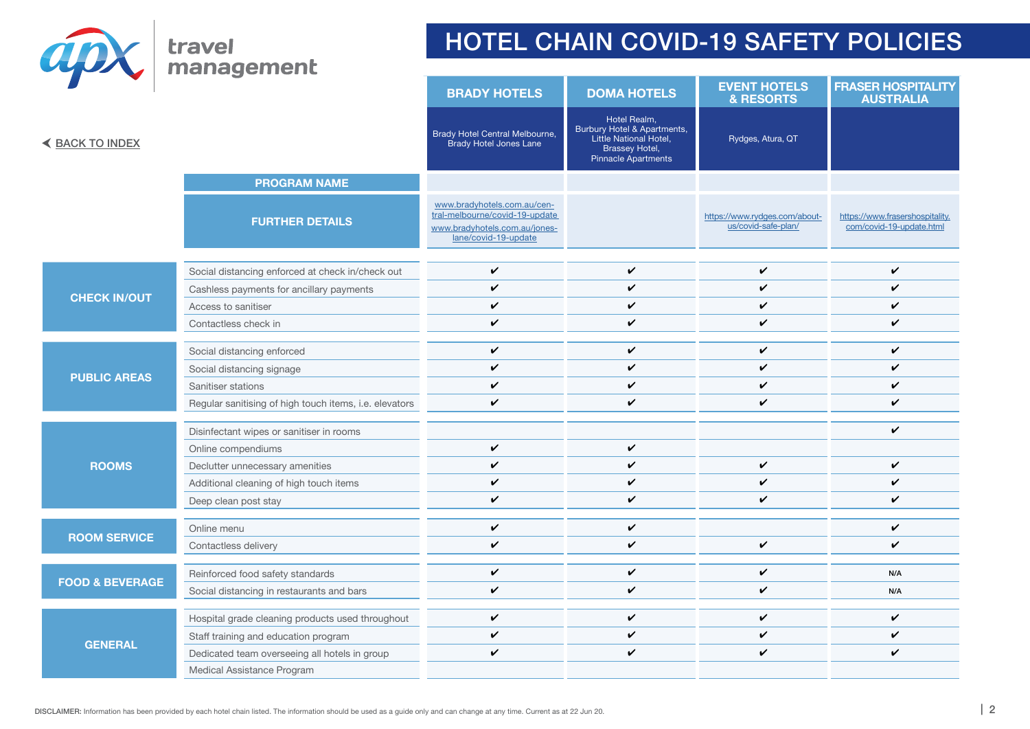<span id="page-2-0"></span> $\widehat{d}$   $\widehat{D}$  travel

|                            |                                                                              | <b>BRADY HOTELS</b>                                                                                                    | <b>DOMA HOTELS</b>                                                                                                           | <b>EVENT HOTELS</b><br>& RESORTS                     | <b>FRASER HOSPITALITY</b><br><b>AUSTRALIA</b>               |
|----------------------------|------------------------------------------------------------------------------|------------------------------------------------------------------------------------------------------------------------|------------------------------------------------------------------------------------------------------------------------------|------------------------------------------------------|-------------------------------------------------------------|
| <b>EACK TO INDEX</b>       |                                                                              | Brady Hotel Central Melbourne,<br>Brady Hotel Jones Lane                                                               | Hotel Realm,<br>Burbury Hotel & Apartments,<br>Little National Hotel,<br><b>Brassey Hotel,</b><br><b>Pinnacle Apartments</b> | Rydges, Atura, QT                                    |                                                             |
|                            | <b>PROGRAM NAME</b>                                                          |                                                                                                                        |                                                                                                                              |                                                      |                                                             |
|                            | <b>FURTHER DETAILS</b>                                                       | www.bradyhotels.com.au/cen-<br>tral-melbourne/covid-19-update<br>www.bradyhotels.com.au/jones-<br>lane/covid-19-update |                                                                                                                              | https://www.rydges.com/about-<br>us/covid-safe-plan/ | https://www.frasershospitality.<br>com/covid-19-update.html |
|                            | Social distancing enforced at check in/check out                             | $\checkmark$                                                                                                           | $\checkmark$                                                                                                                 | V                                                    | V                                                           |
|                            | Cashless payments for ancillary payments                                     | $\checkmark$                                                                                                           | V                                                                                                                            | V                                                    | V                                                           |
| <b>CHECK IN/OUT</b>        | Access to sanitiser                                                          | $\mathbf v$                                                                                                            | ✓                                                                                                                            | ✓                                                    | ✓                                                           |
|                            | Contactless check in                                                         | $\checkmark$                                                                                                           | V                                                                                                                            | V                                                    | V                                                           |
|                            |                                                                              |                                                                                                                        |                                                                                                                              |                                                      |                                                             |
|                            | Social distancing enforced                                                   | $\checkmark$<br>V                                                                                                      | $\checkmark$<br>V                                                                                                            | V<br>$\mathbf v$                                     | ✓<br>✓                                                      |
| <b>PUBLIC AREAS</b>        | Social distancing signage                                                    | $\boldsymbol{\nu}$                                                                                                     | ✓                                                                                                                            | ✓                                                    | ✓                                                           |
|                            | Sanitiser stations<br>Regular sanitising of high touch items, i.e. elevators | $\checkmark$                                                                                                           | $\checkmark$                                                                                                                 | V                                                    | V                                                           |
|                            |                                                                              |                                                                                                                        |                                                                                                                              |                                                      |                                                             |
|                            | Disinfectant wipes or sanitiser in rooms                                     |                                                                                                                        |                                                                                                                              |                                                      | $\mathbf v$                                                 |
|                            | Online compendiums                                                           | $\checkmark$                                                                                                           | V                                                                                                                            |                                                      |                                                             |
| <b>ROOMS</b>               | Declutter unnecessary amenities                                              | $\boldsymbol{\nu}$                                                                                                     | $\checkmark$                                                                                                                 | $\checkmark$                                         | V                                                           |
|                            | Additional cleaning of high touch items                                      | $\checkmark$                                                                                                           | ✓                                                                                                                            | ✓                                                    | ✓                                                           |
|                            | Deep clean post stay                                                         | $\checkmark$                                                                                                           | V                                                                                                                            | V                                                    | V                                                           |
|                            | Online menu                                                                  | $\checkmark$                                                                                                           | $\checkmark$                                                                                                                 |                                                      | V                                                           |
| <b>ROOM SERVICE</b>        | Contactless delivery                                                         | $\checkmark$                                                                                                           | $\checkmark$                                                                                                                 | $\checkmark$                                         | V                                                           |
|                            |                                                                              |                                                                                                                        |                                                                                                                              |                                                      |                                                             |
| <b>FOOD &amp; BEVERAGE</b> | Reinforced food safety standards                                             | $\checkmark$                                                                                                           | $\checkmark$                                                                                                                 | V                                                    | N/A                                                         |
|                            | Social distancing in restaurants and bars                                    | $\checkmark$                                                                                                           | $\checkmark$                                                                                                                 | V                                                    | N/A                                                         |
|                            | Hospital grade cleaning products used throughout                             | V                                                                                                                      | V                                                                                                                            | V                                                    | V                                                           |
| <b>GENERAL</b>             | Staff training and education program                                         | $\checkmark$                                                                                                           | V                                                                                                                            | $\boldsymbol{\nu}$                                   | V                                                           |
|                            | Dedicated team overseeing all hotels in group                                | $\checkmark$                                                                                                           | V                                                                                                                            | $\boldsymbol{\nu}$                                   | V                                                           |
|                            | Medical Assistance Program                                                   |                                                                                                                        |                                                                                                                              |                                                      |                                                             |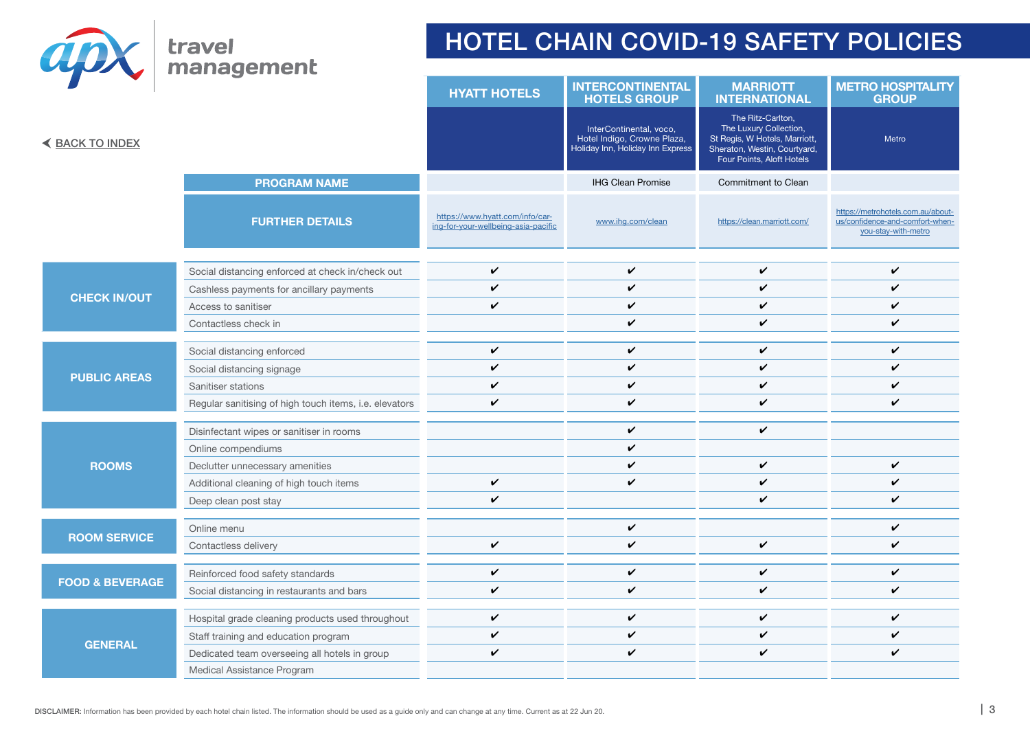<span id="page-3-0"></span>

|                                           |                                                        | <b>HYATT HOTELS</b>                                                    | <b>INTERCONTINENTAL</b><br><b>HOTELS GROUP</b>                                             | <b>MARRIOTT</b><br><b>INTERNATIONAL</b>                                                                                                   | <b>METRO HOSPITALITY</b><br><b>GROUP</b>                                                    |
|-------------------------------------------|--------------------------------------------------------|------------------------------------------------------------------------|--------------------------------------------------------------------------------------------|-------------------------------------------------------------------------------------------------------------------------------------------|---------------------------------------------------------------------------------------------|
| <b><back b="" index<="" to=""></back></b> |                                                        |                                                                        | InterContinental, voco,<br>Hotel Indigo, Crowne Plaza,<br>Holiday Inn, Holiday Inn Express | The Ritz-Carlton,<br>The Luxury Collection,<br>St Regis, W Hotels, Marriott,<br>Sheraton, Westin, Courtyard,<br>Four Points, Aloft Hotels | Metro                                                                                       |
|                                           | <b>PROGRAM NAME</b>                                    |                                                                        | <b>IHG Clean Promise</b>                                                                   | Commitment to Clean                                                                                                                       |                                                                                             |
|                                           | <b>FURTHER DETAILS</b>                                 | https://www.hyatt.com/info/car-<br>ing-for-your-wellbeing-asia-pacific | www.ihg.com/clean                                                                          | https://clean.marriott.com/                                                                                                               | https://metrohotels.com.au/about-<br>us/confidence-and-comfort-when-<br>you-stay-with-metro |
|                                           | Social distancing enforced at check in/check out       | $\checkmark$                                                           | V                                                                                          | $\checkmark$                                                                                                                              | $\checkmark$                                                                                |
|                                           | Cashless payments for ancillary payments               | ✓                                                                      | V                                                                                          | $\boldsymbol{\nu}$                                                                                                                        | V                                                                                           |
| <b>CHECK IN/OUT</b>                       | Access to sanitiser                                    | ✓                                                                      | V                                                                                          | ✓                                                                                                                                         | ✓                                                                                           |
|                                           | Contactless check in                                   |                                                                        | V                                                                                          | $\checkmark$                                                                                                                              | V                                                                                           |
|                                           |                                                        | ✓                                                                      | V                                                                                          | $\checkmark$                                                                                                                              | $\checkmark$                                                                                |
|                                           | Social distancing enforced                             | ✓                                                                      | V                                                                                          | V                                                                                                                                         | V                                                                                           |
| <b>PUBLIC AREAS</b>                       | Social distancing signage<br>Sanitiser stations        | ✓                                                                      | V                                                                                          | $\mathbf v$                                                                                                                               | V                                                                                           |
|                                           | Regular sanitising of high touch items, i.e. elevators | ✓                                                                      | V                                                                                          | $\checkmark$                                                                                                                              | V                                                                                           |
|                                           |                                                        |                                                                        |                                                                                            |                                                                                                                                           |                                                                                             |
|                                           | Disinfectant wipes or sanitiser in rooms               |                                                                        | V                                                                                          | $\checkmark$                                                                                                                              |                                                                                             |
|                                           | Online compendiums                                     |                                                                        | V                                                                                          |                                                                                                                                           |                                                                                             |
| <b>ROOMS</b>                              | Declutter unnecessary amenities                        |                                                                        | V                                                                                          | $\checkmark$                                                                                                                              | $\checkmark$                                                                                |
|                                           | Additional cleaning of high touch items                | $\checkmark$                                                           | V                                                                                          |                                                                                                                                           | ✓                                                                                           |
|                                           | Deep clean post stay                                   | ✓                                                                      |                                                                                            | ✓                                                                                                                                         | V                                                                                           |
|                                           | Online menu                                            |                                                                        | V                                                                                          |                                                                                                                                           | $\checkmark$                                                                                |
| <b>ROOM SERVICE</b>                       | Contactless delivery                                   | V                                                                      | V                                                                                          | $\checkmark$                                                                                                                              | V                                                                                           |
|                                           |                                                        |                                                                        |                                                                                            |                                                                                                                                           |                                                                                             |
| <b>FOOD &amp; BEVERAGE</b>                | Reinforced food safety standards                       | V                                                                      | V                                                                                          | $\checkmark$                                                                                                                              | $\checkmark$                                                                                |
|                                           | Social distancing in restaurants and bars              | V                                                                      | V                                                                                          | ✓                                                                                                                                         | V                                                                                           |
| <b>GENERAL</b>                            | Hospital grade cleaning products used throughout       | ✓                                                                      | V                                                                                          | V                                                                                                                                         | V                                                                                           |
|                                           | Staff training and education program                   | ✓                                                                      | V                                                                                          | ✓                                                                                                                                         | V                                                                                           |
|                                           | Dedicated team overseeing all hotels in group          | ✓                                                                      | V                                                                                          | ✓                                                                                                                                         | V                                                                                           |
|                                           | Medical Assistance Program                             |                                                                        |                                                                                            |                                                                                                                                           |                                                                                             |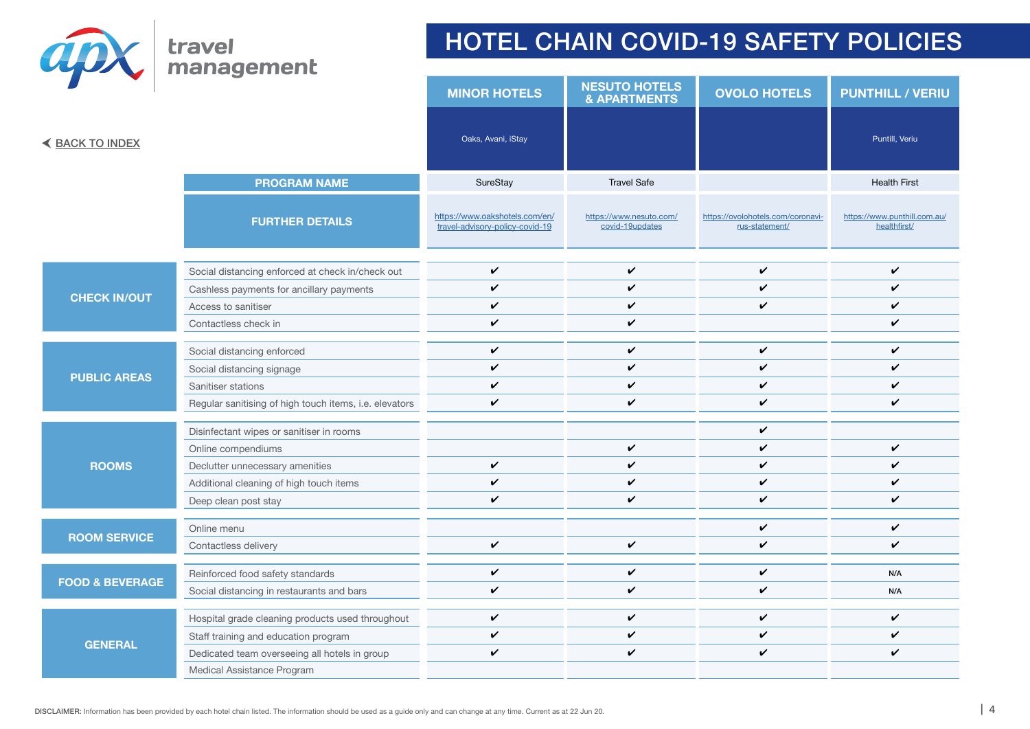<span id="page-4-0"></span>

|                            |                                                        | <b>MINOR HOTELS</b>                                               | <b>NESUTO HOTELS</b><br><b>&amp; APARTMENTS</b> | <b>OVOLO HOTELS</b>                                 | <b>PUNTHILL / VERIU</b>                      |
|----------------------------|--------------------------------------------------------|-------------------------------------------------------------------|-------------------------------------------------|-----------------------------------------------------|----------------------------------------------|
| <b>EACK TO INDEX</b>       |                                                        | Oaks, Avani, iStay                                                |                                                 |                                                     | Puntill, Veriu                               |
|                            | <b>PROGRAM NAME</b>                                    | SureStay                                                          | <b>Travel Safe</b>                              |                                                     | <b>Health First</b>                          |
|                            | <b>FURTHER DETAILS</b>                                 | https://www.oakshotels.com/en/<br>travel-advisory-policy-covid-19 | https://www.nesuto.com/<br>covid-19updates      | https://ovolohotels.com/coronavi-<br>rus-statement/ | https://www.punthill.com.au/<br>healthfirst/ |
|                            | Social distancing enforced at check in/check out       | $\checkmark$                                                      | V                                               | $\checkmark$                                        | $\checkmark$                                 |
|                            | Cashless payments for ancillary payments               | $\checkmark$                                                      | V                                               | V                                                   | $\checkmark$                                 |
| <b>CHECK IN/OUT</b>        | Access to sanitiser                                    | $\checkmark$                                                      | V                                               | ✓                                                   | $\checkmark$                                 |
|                            | Contactless check in                                   | $\checkmark$                                                      | V                                               |                                                     | $\boldsymbol{\nu}$                           |
|                            |                                                        | $\checkmark$                                                      | V                                               | $\checkmark$                                        | $\checkmark$                                 |
|                            | Social distancing enforced                             | $\checkmark$                                                      | V                                               | ✓                                                   | V                                            |
| <b>PUBLIC AREAS</b>        | Social distancing signage<br>Sanitiser stations        | $\checkmark$                                                      | V                                               | ✓                                                   | $\checkmark$                                 |
|                            | Regular sanitising of high touch items, i.e. elevators | $\checkmark$                                                      | V                                               | $\checkmark$                                        | $\checkmark$                                 |
|                            |                                                        |                                                                   |                                                 |                                                     |                                              |
|                            | Disinfectant wipes or sanitiser in rooms               |                                                                   |                                                 | $\boldsymbol{\nu}$                                  |                                              |
|                            | Online compendiums                                     |                                                                   | V                                               | V                                                   | $\checkmark$                                 |
| <b>ROOMS</b>               | Declutter unnecessary amenities                        | $\checkmark$                                                      | V                                               | $\checkmark$                                        | $\checkmark$                                 |
|                            | Additional cleaning of high touch items                | $\mathbf{v}$                                                      | V                                               | V                                                   | $\checkmark$                                 |
|                            | Deep clean post stay                                   | ✓                                                                 | V                                               | $\checkmark$                                        | $\checkmark$                                 |
|                            | Online menu                                            |                                                                   |                                                 | $\checkmark$                                        | $\checkmark$                                 |
| <b>ROOM SERVICE</b>        | Contactless delivery                                   | $\checkmark$                                                      | $\checkmark$                                    | V                                                   | $\checkmark$                                 |
|                            |                                                        |                                                                   |                                                 |                                                     |                                              |
| <b>FOOD &amp; BEVERAGE</b> | Reinforced food safety standards                       | $\checkmark$                                                      | V                                               | V                                                   | N/A                                          |
|                            | Social distancing in restaurants and bars              | $\checkmark$                                                      | V                                               | $\checkmark$                                        | N/A                                          |
| <b>GENERAL</b>             | Hospital grade cleaning products used throughout       | $\checkmark$                                                      | V                                               | $\checkmark$                                        | $\checkmark$                                 |
|                            | Staff training and education program                   | $\checkmark$                                                      | V                                               | ✓                                                   | $\checkmark$                                 |
|                            | Dedicated team overseeing all hotels in group          | $\checkmark$                                                      | V                                               | ✓                                                   | $\checkmark$                                 |
|                            | Medical Assistance Program                             |                                                                   |                                                 |                                                     |                                              |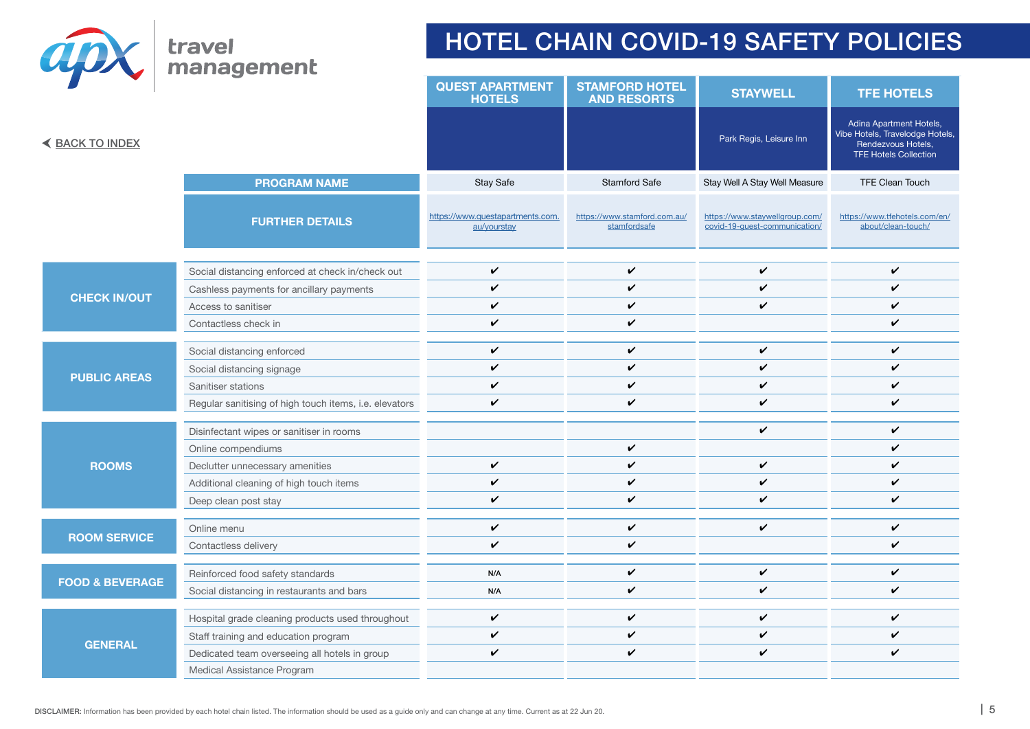<span id="page-5-0"></span>

|                                           |                                                        | <b>QUEST APARTMENT</b><br><b>HOTELS</b>         | <b>STAMFORD HOTEL</b><br><b>AND RESORTS</b>  | <b>STAYWELL</b>                                                 | <b>TFE HOTELS</b>                                                                                                |
|-------------------------------------------|--------------------------------------------------------|-------------------------------------------------|----------------------------------------------|-----------------------------------------------------------------|------------------------------------------------------------------------------------------------------------------|
| <b><back b="" index<="" to=""></back></b> |                                                        |                                                 |                                              | Park Regis, Leisure Inn                                         | Adina Apartment Hotels,<br>Vibe Hotels, Travelodge Hotels,<br>Rendezvous Hotels,<br><b>TFE Hotels Collection</b> |
|                                           | <b>PROGRAM NAME</b>                                    | Stay Safe                                       | <b>Stamford Safe</b>                         | Stay Well A Stay Well Measure                                   | <b>TFE Clean Touch</b>                                                                                           |
|                                           | <b>FURTHER DETAILS</b>                                 | https://www.questapartments.com.<br>au/yourstay | https://www.stamford.com.au/<br>stamfordsafe | https://www.staywellgroup.com/<br>covid-19-guest-communication/ | https://www.tfehotels.com/en/<br>about/clean-touch/                                                              |
|                                           | Social distancing enforced at check in/check out       | $\checkmark$                                    | V                                            | V                                                               | $\checkmark$                                                                                                     |
|                                           | Cashless payments for ancillary payments               | V                                               | V                                            | V                                                               | $\checkmark$                                                                                                     |
| <b>CHECK IN/OUT</b>                       | Access to sanitiser                                    | $\checkmark$                                    | V                                            | $\checkmark$                                                    | $\checkmark$                                                                                                     |
|                                           | Contactless check in                                   | $\checkmark$                                    | V                                            |                                                                 | $\checkmark$                                                                                                     |
|                                           | Social distancing enforced                             | $\checkmark$                                    | V                                            | $\checkmark$                                                    | $\checkmark$                                                                                                     |
|                                           | Social distancing signage                              | $\checkmark$                                    | V                                            | V                                                               | V                                                                                                                |
| <b>PUBLIC AREAS</b>                       | Sanitiser stations                                     | $\checkmark$                                    | V                                            | $\checkmark$                                                    | V                                                                                                                |
|                                           | Regular sanitising of high touch items, i.e. elevators | $\checkmark$                                    | V                                            | $\checkmark$                                                    | $\checkmark$                                                                                                     |
|                                           | Disinfectant wipes or sanitiser in rooms               |                                                 |                                              | $\checkmark$                                                    | $\checkmark$                                                                                                     |
|                                           | Online compendiums                                     |                                                 | V                                            |                                                                 | V                                                                                                                |
| <b>ROOMS</b>                              | Declutter unnecessary amenities                        | V                                               | V                                            | $\checkmark$                                                    | V                                                                                                                |
|                                           | Additional cleaning of high touch items                | $\checkmark$                                    | V                                            | V                                                               | $\checkmark$                                                                                                     |
|                                           | Deep clean post stay                                   | $\checkmark$                                    | V                                            | $\checkmark$                                                    | $\checkmark$                                                                                                     |
|                                           | Online menu                                            | $\checkmark$                                    | V                                            | $\checkmark$                                                    | $\checkmark$                                                                                                     |
| <b>ROOM SERVICE</b>                       | Contactless delivery                                   | $\checkmark$                                    | V                                            |                                                                 | V                                                                                                                |
|                                           | Reinforced food safety standards                       | N/A                                             | V                                            | $\checkmark$                                                    | $\checkmark$                                                                                                     |
| <b>FOOD &amp; BEVERAGE</b>                | Social distancing in restaurants and bars              | N/A                                             | V                                            | $\checkmark$                                                    | $\checkmark$                                                                                                     |
|                                           |                                                        |                                                 |                                              |                                                                 |                                                                                                                  |
| <b>GENERAL</b>                            | Hospital grade cleaning products used throughout       | $\checkmark$                                    | V                                            | V                                                               | $\checkmark$                                                                                                     |
|                                           | Staff training and education program                   | $\checkmark$                                    | V                                            | ✓                                                               | $\checkmark$                                                                                                     |
|                                           | Dedicated team overseeing all hotels in group          | $\checkmark$                                    | V                                            | $\mathbf{v}$                                                    | $\checkmark$                                                                                                     |
|                                           | Medical Assistance Program                             |                                                 |                                              |                                                                 |                                                                                                                  |